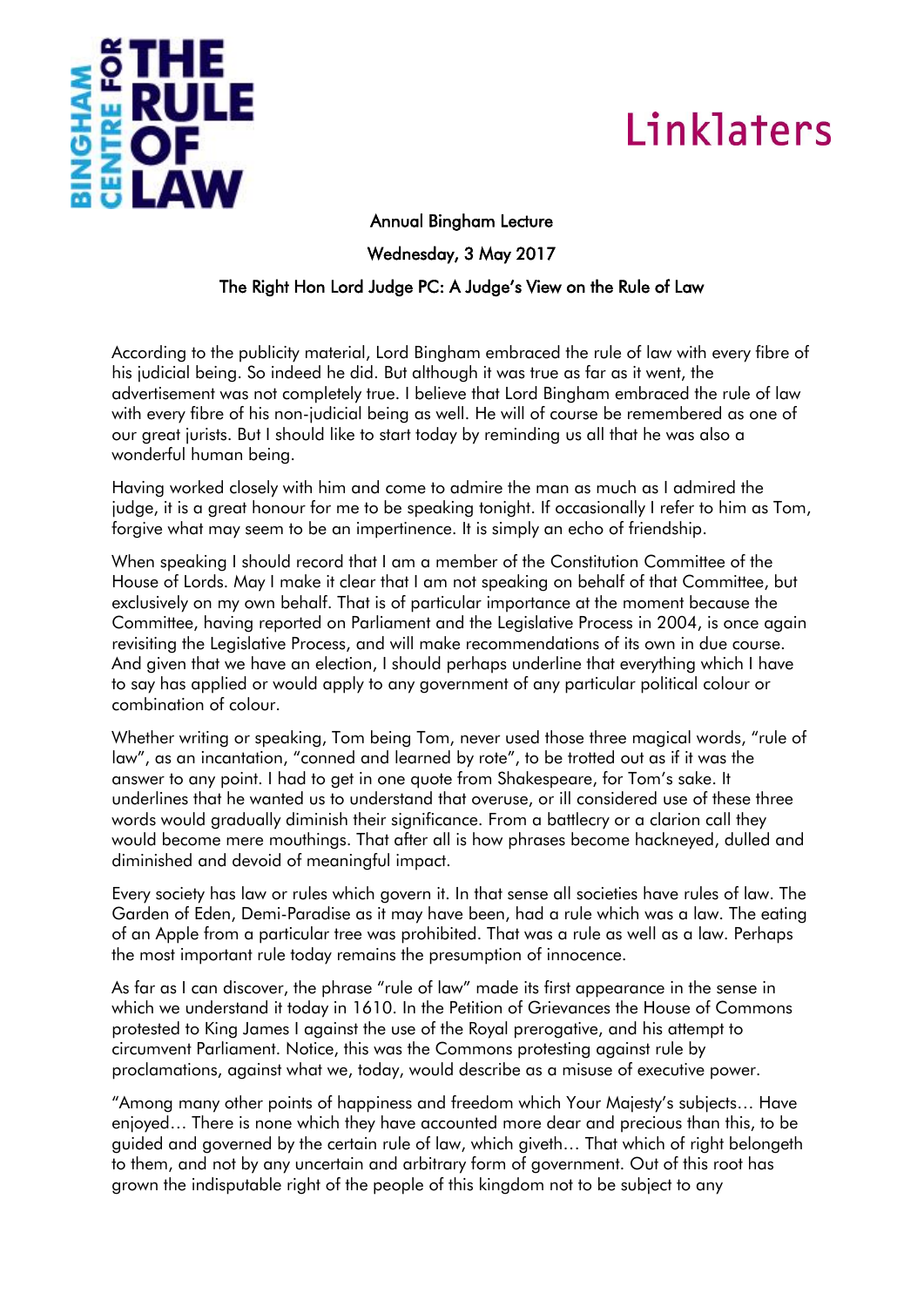

## Linklaters

## Annual Bingham Lecture

Wednesday, 3 May 2017

## The Right Hon Lord Judge PC: A Judge's View on the Rule of Law

According to the publicity material, Lord Bingham embraced the rule of law with every fibre of his judicial being. So indeed he did. But although it was true as far as it went, the advertisement was not completely true. I believe that Lord Bingham embraced the rule of law with every fibre of his non-judicial being as well. He will of course be remembered as one of our great jurists. But I should like to start today by reminding us all that he was also a wonderful human being.

Having worked closely with him and come to admire the man as much as I admired the judge, it is a great honour for me to be speaking tonight. If occasionally I refer to him as Tom, forgive what may seem to be an impertinence. It is simply an echo of friendship.

When speaking I should record that I am a member of the Constitution Committee of the House of Lords. May I make it clear that I am not speaking on behalf of that Committee, but exclusively on my own behalf. That is of particular importance at the moment because the Committee, having reported on Parliament and the Legislative Process in 2004, is once again revisiting the Legislative Process, and will make recommendations of its own in due course. And given that we have an election, I should perhaps underline that everything which I have to say has applied or would apply to any government of any particular political colour or combination of colour.

Whether writing or speaking, Tom being Tom, never used those three magical words, "rule of law", as an incantation, "conned and learned by rote", to be trotted out as if it was the answer to any point. I had to get in one quote from Shakespeare, for Tom's sake. It underlines that he wanted us to understand that overuse, or ill considered use of these three words would gradually diminish their significance. From a battlecry or a clarion call they would become mere mouthings. That after all is how phrases become hackneyed, dulled and diminished and devoid of meaningful impact.

Every society has law or rules which govern it. In that sense all societies have rules of law. The Garden of Eden, Demi-Paradise as it may have been, had a rule which was a law. The eating of an Apple from a particular tree was prohibited. That was a rule as well as a law. Perhaps the most important rule today remains the presumption of innocence.

As far as I can discover, the phrase "rule of law" made its first appearance in the sense in which we understand it today in 1610. In the Petition of Grievances the House of Commons protested to King James I against the use of the Royal prerogative, and his attempt to circumvent Parliament. Notice, this was the Commons protesting against rule by proclamations, against what we, today, would describe as a misuse of executive power.

"Among many other points of happiness and freedom which Your Majesty's subjects… Have enjoyed… There is none which they have accounted more dear and precious than this, to be guided and governed by the certain rule of law, which giveth… That which of right belongeth to them, and not by any uncertain and arbitrary form of government. Out of this root has grown the indisputable right of the people of this kingdom not to be subject to any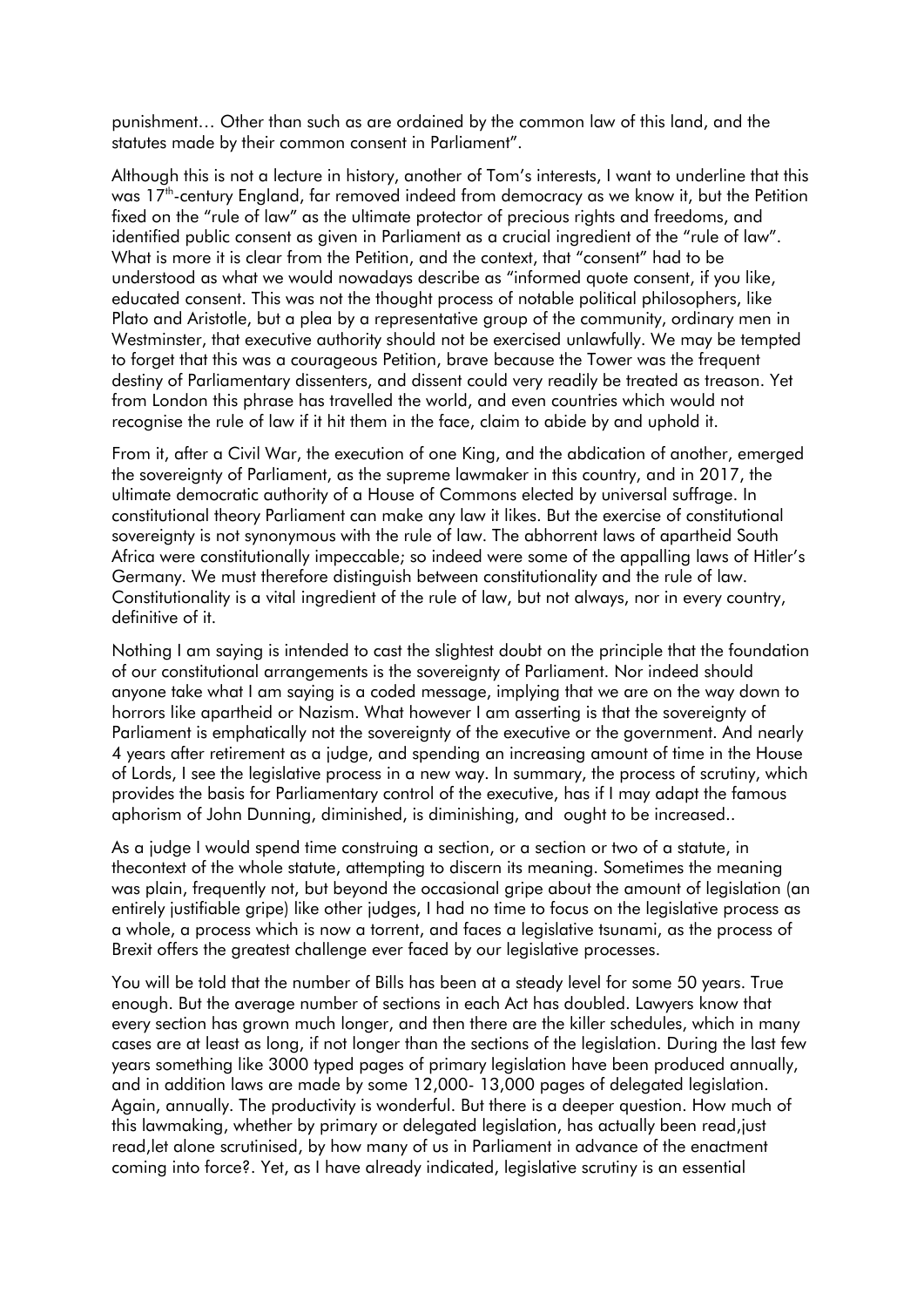punishment… Other than such as are ordained by the common law of this land, and the statutes made by their common consent in Parliament".

Although this is not a lecture in history, another of Tom's interests, I want to underline that this was 17<sup>th</sup>-century England, far removed indeed from democracy as we know it, but the Petition fixed on the "rule of law" as the ultimate protector of precious rights and freedoms, and identified public consent as given in Parliament as a crucial ingredient of the "rule of law". What is more it is clear from the Petition, and the context, that "consent" had to be understood as what we would nowadays describe as "informed quote consent, if you like, educated consent. This was not the thought process of notable political philosophers, like Plato and Aristotle, but a plea by a representative group of the community, ordinary men in Westminster, that executive authority should not be exercised unlawfully. We may be tempted to forget that this was a courageous Petition, brave because the Tower was the frequent destiny of Parliamentary dissenters, and dissent could very readily be treated as treason. Yet from London this phrase has travelled the world, and even countries which would not recognise the rule of law if it hit them in the face, claim to abide by and uphold it.

From it, after a Civil War, the execution of one King, and the abdication of another, emerged the sovereignty of Parliament, as the supreme lawmaker in this country, and in 2017, the ultimate democratic authority of a House of Commons elected by universal suffrage. In constitutional theory Parliament can make any law it likes. But the exercise of constitutional sovereignty is not synonymous with the rule of law. The abhorrent laws of apartheid South Africa were constitutionally impeccable; so indeed were some of the appalling laws of Hitler's Germany. We must therefore distinguish between constitutionality and the rule of law. Constitutionality is a vital ingredient of the rule of law, but not always, nor in every country, definitive of it.

Nothing I am saying is intended to cast the slightest doubt on the principle that the foundation of our constitutional arrangements is the sovereignty of Parliament. Nor indeed should anyone take what I am saying is a coded message, implying that we are on the way down to horrors like apartheid or Nazism. What however I am asserting is that the sovereignty of Parliament is emphatically not the sovereignty of the executive or the government. And nearly 4 years after retirement as a judge, and spending an increasing amount of time in the House of Lords, I see the legislative process in a new way. In summary, the process of scrutiny, which provides the basis for Parliamentary control of the executive, has if I may adapt the famous aphorism of John Dunning, diminished, is diminishing, and ought to be increased..

As a judge I would spend time construing a section, or a section or two of a statute, in thecontext of the whole statute, attempting to discern its meaning. Sometimes the meaning was plain, frequently not, but beyond the occasional gripe about the amount of legislation (an entirely justifiable gripe) like other judges, I had no time to focus on the legislative process as a whole, a process which is now a torrent, and faces a legislative tsunami, as the process of Brexit offers the greatest challenge ever faced by our legislative processes.

You will be told that the number of Bills has been at a steady level for some 50 years. True enough. But the average number of sections in each Act has doubled. Lawyers know that every section has grown much longer, and then there are the killer schedules, which in many cases are at least as long, if not longer than the sections of the legislation. During the last few years something like 3000 typed pages of primary legislation have been produced annually, and in addition laws are made by some 12,000- 13,000 pages of delegated legislation. Again, annually. The productivity is wonderful. But there is a deeper question. How much of this lawmaking, whether by primary or delegated legislation, has actually been read,just read,let alone scrutinised, by how many of us in Parliament in advance of the enactment coming into force?. Yet, as I have already indicated, legislative scrutiny is an essential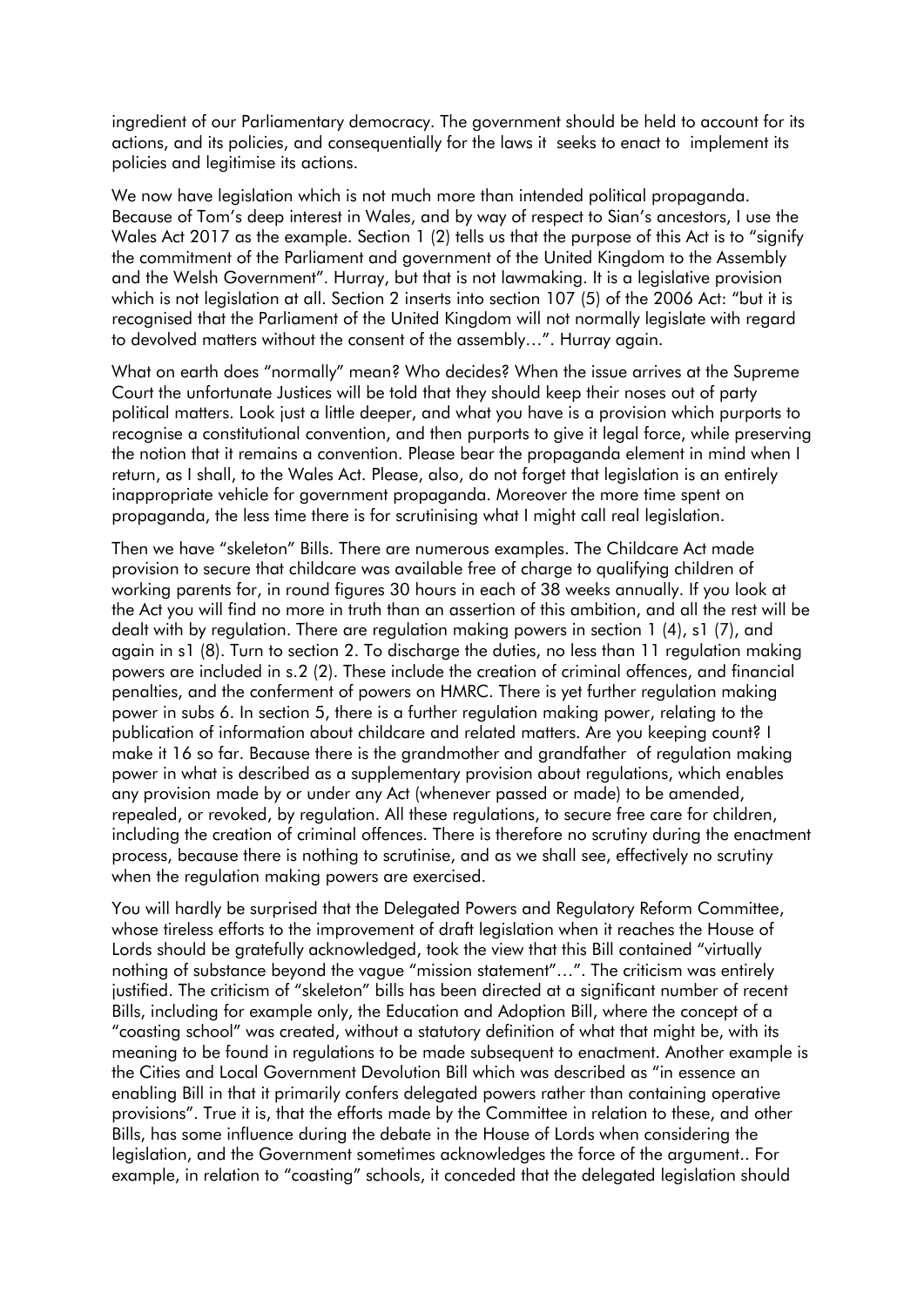ingredient of our Parliamentary democracy. The government should be held to account for its actions, and its policies, and consequentially for the laws it seeks to enact to implement its policies and legitimise its actions.

We now have legislation which is not much more than intended political propaganda. Because of Tom's deep interest in Wales, and by way of respect to Sian's ancestors, I use the Wales Act 2017 as the example. Section 1 (2) tells us that the purpose of this Act is to "signify the commitment of the Parliament and government of the United Kingdom to the Assembly and the Welsh Government". Hurray, but that is not lawmaking. It is a legislative provision which is not legislation at all. Section 2 inserts into section 107 (5) of the 2006 Act: "but it is recognised that the Parliament of the United Kingdom will not normally legislate with regard to devolved matters without the consent of the assembly…". Hurray again.

What on earth does "normally" mean? Who decides? When the issue arrives at the Supreme Court the unfortunate Justices will be told that they should keep their noses out of party political matters. Look just a little deeper, and what you have is a provision which purports to recognise a constitutional convention, and then purports to give it legal force, while preserving the notion that it remains a convention. Please bear the propaganda element in mind when I return, as I shall, to the Wales Act. Please, also, do not forget that legislation is an entirely inappropriate vehicle for government propaganda. Moreover the more time spent on propaganda, the less time there is for scrutinising what I might call real legislation.

Then we have "skeleton" Bills. There are numerous examples. The Childcare Act made provision to secure that childcare was available free of charge to qualifying children of working parents for, in round figures 30 hours in each of 38 weeks annually. If you look at the Act you will find no more in truth than an assertion of this ambition, and all the rest will be dealt with by regulation. There are regulation making powers in section 1 (4), s1 (7), and again in s1 (8). Turn to section 2. To discharge the duties, no less than 11 regulation making powers are included in s.2 (2). These include the creation of criminal offences, and financial penalties, and the conferment of powers on HMRC. There is yet further regulation making power in subs 6. In section 5, there is a further regulation making power, relating to the publication of information about childcare and related matters. Are you keeping count? I make it 16 so far. Because there is the grandmother and grandfather of regulation making power in what is described as a supplementary provision about regulations, which enables any provision made by or under any Act (whenever passed or made) to be amended, repealed, or revoked, by regulation. All these regulations, to secure free care for children, including the creation of criminal offences. There is therefore no scrutiny during the enactment process, because there is nothing to scrutinise, and as we shall see, effectively no scrutiny when the regulation making powers are exercised.

You will hardly be surprised that the Delegated Powers and Regulatory Reform Committee, whose tireless efforts to the improvement of draft legislation when it reaches the House of Lords should be gratefully acknowledged, took the view that this Bill contained "virtually nothing of substance beyond the vague "mission statement"…". The criticism was entirely justified. The criticism of "skeleton" bills has been directed at a significant number of recent Bills, including for example only, the Education and Adoption Bill, where the concept of a "coasting school" was created, without a statutory definition of what that might be, with its meaning to be found in regulations to be made subsequent to enactment. Another example is the Cities and Local Government Devolution Bill which was described as "in essence an enabling Bill in that it primarily confers delegated powers rather than containing operative provisions". True it is, that the efforts made by the Committee in relation to these, and other Bills, has some influence during the debate in the House of Lords when considering the legislation, and the Government sometimes acknowledges the force of the argument.. For example, in relation to "coasting" schools, it conceded that the delegated legislation should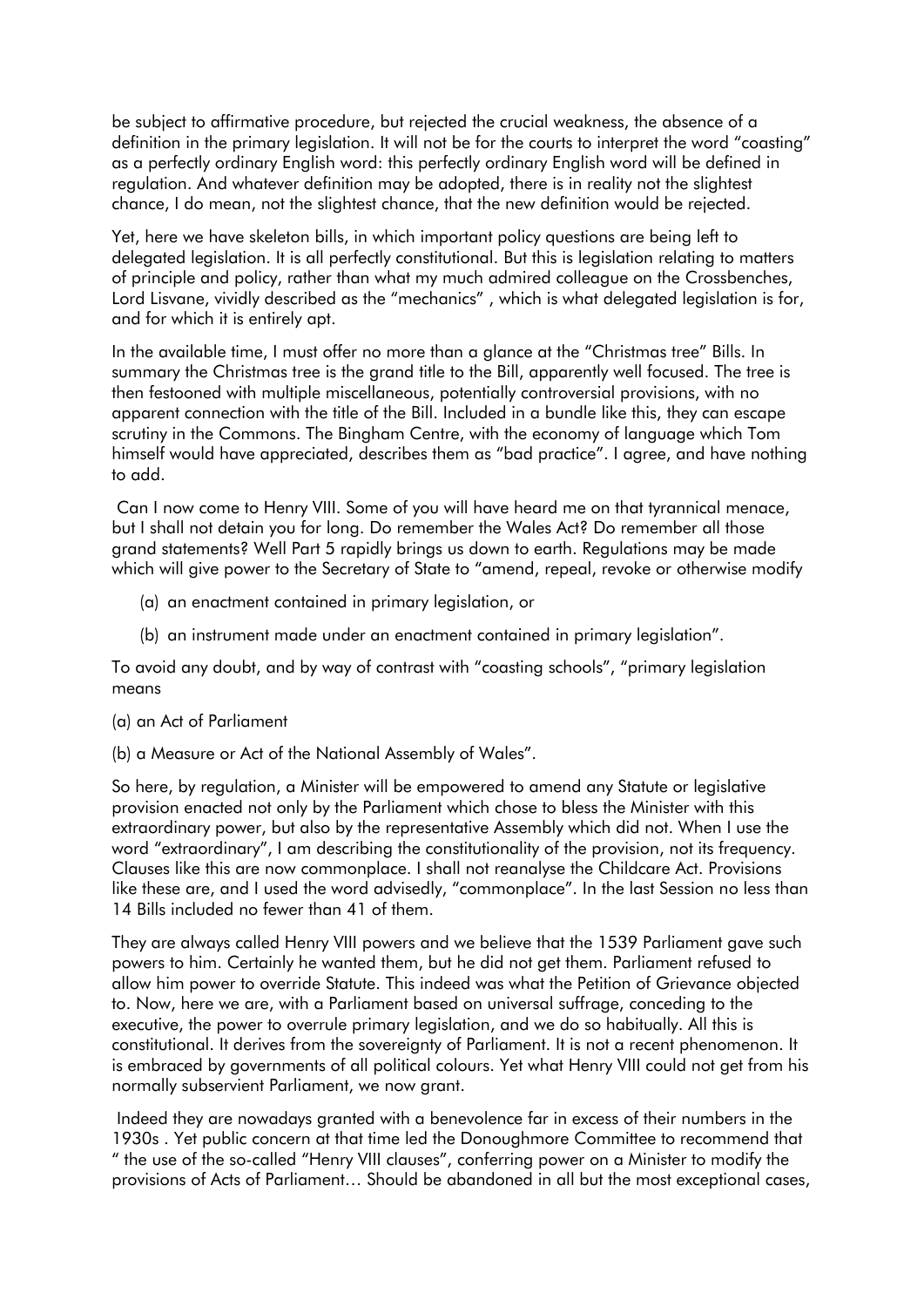be subject to affirmative procedure, but rejected the crucial weakness, the absence of a definition in the primary legislation. It will not be for the courts to interpret the word "coasting" as a perfectly ordinary English word: this perfectly ordinary English word will be defined in regulation. And whatever definition may be adopted, there is in reality not the slightest chance, I do mean, not the slightest chance, that the new definition would be rejected.

Yet, here we have skeleton bills, in which important policy questions are being left to delegated legislation. It is all perfectly constitutional. But this is legislation relating to matters of principle and policy, rather than what my much admired colleague on the Crossbenches, Lord Lisvane, vividly described as the "mechanics" , which is what delegated legislation is for, and for which it is entirely apt.

In the available time, I must offer no more than a glance at the "Christmas tree" Bills. In summary the Christmas tree is the grand title to the Bill, apparently well focused. The tree is then festooned with multiple miscellaneous, potentially controversial provisions, with no apparent connection with the title of the Bill. Included in a bundle like this, they can escape scrutiny in the Commons. The Bingham Centre, with the economy of language which Tom himself would have appreciated, describes them as "bad practice". I agree, and have nothing to add.

Can I now come to Henry VIII. Some of you will have heard me on that tyrannical menace, but I shall not detain you for long. Do remember the Wales Act? Do remember all those grand statements? Well Part 5 rapidly brings us down to earth. Regulations may be made which will give power to the Secretary of State to "amend, repeal, revoke or otherwise modify

- (a) an enactment contained in primary legislation, or
- (b) an instrument made under an enactment contained in primary legislation".

To avoid any doubt, and by way of contrast with "coasting schools", "primary legislation means

- (a) an Act of Parliament
- (b) a Measure or Act of the National Assembly of Wales".

So here, by regulation, a Minister will be empowered to amend any Statute or legislative provision enacted not only by the Parliament which chose to bless the Minister with this extraordinary power, but also by the representative Assembly which did not. When I use the word "extraordinary", I am describing the constitutionality of the provision, not its frequency. Clauses like this are now commonplace. I shall not reanalyse the Childcare Act. Provisions like these are, and I used the word advisedly, "commonplace". In the last Session no less than 14 Bills included no fewer than 41 of them.

They are always called Henry VIII powers and we believe that the 1539 Parliament gave such powers to him. Certainly he wanted them, but he did not get them. Parliament refused to allow him power to override Statute. This indeed was what the Petition of Grievance objected to. Now, here we are, with a Parliament based on universal suffrage, conceding to the executive, the power to overrule primary legislation, and we do so habitually. All this is constitutional. It derives from the sovereignty of Parliament. It is not a recent phenomenon. It is embraced by governments of all political colours. Yet what Henry VIII could not get from his normally subservient Parliament, we now grant.

Indeed they are nowadays granted with a benevolence far in excess of their numbers in the 1930s . Yet public concern at that time led the Donoughmore Committee to recommend that " the use of the so-called "Henry VIII clauses", conferring power on a Minister to modify the provisions of Acts of Parliament… Should be abandoned in all but the most exceptional cases,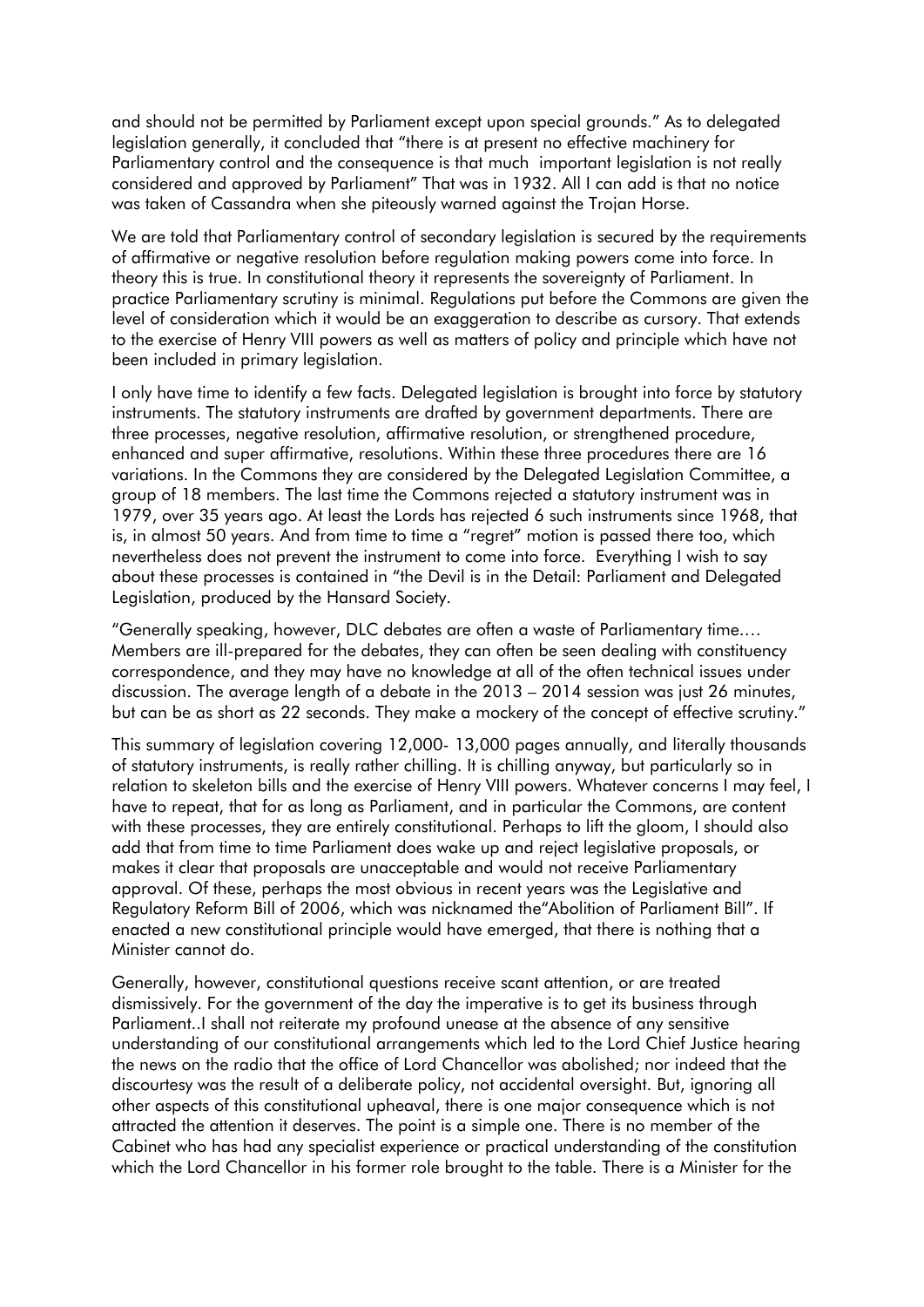and should not be permitted by Parliament except upon special grounds." As to delegated legislation generally, it concluded that "there is at present no effective machinery for Parliamentary control and the consequence is that much important legislation is not really considered and approved by Parliament" That was in 1932. All I can add is that no notice was taken of Cassandra when she piteously warned against the Trojan Horse.

We are told that Parliamentary control of secondary legislation is secured by the requirements of affirmative or negative resolution before regulation making powers come into force. In theory this is true. In constitutional theory it represents the sovereignty of Parliament. In practice Parliamentary scrutiny is minimal. Regulations put before the Commons are given the level of consideration which it would be an exaggeration to describe as cursory. That extends to the exercise of Henry VIII powers as well as matters of policy and principle which have not been included in primary legislation.

I only have time to identify a few facts. Delegated legislation is brought into force by statutory instruments. The statutory instruments are drafted by government departments. There are three processes, negative resolution, affirmative resolution, or strengthened procedure, enhanced and super affirmative, resolutions. Within these three procedures there are 16 variations. In the Commons they are considered by the Delegated Legislation Committee, a group of 18 members. The last time the Commons rejected a statutory instrument was in 1979, over 35 years ago. At least the Lords has rejected 6 such instruments since 1968, that is, in almost 50 years. And from time to time a "regret" motion is passed there too, which nevertheless does not prevent the instrument to come into force. Everything I wish to say about these processes is contained in "the Devil is in the Detail: Parliament and Delegated Legislation, produced by the Hansard Society.

"Generally speaking, however, DLC debates are often a waste of Parliamentary time.… Members are ill-prepared for the debates, they can often be seen dealing with constituency correspondence, and they may have no knowledge at all of the often technical issues under discussion. The average length of a debate in the 2013 – 2014 session was just 26 minutes, but can be as short as 22 seconds. They make a mockery of the concept of effective scrutiny."

This summary of legislation covering 12,000- 13,000 pages annually, and literally thousands of statutory instruments, is really rather chilling. It is chilling anyway, but particularly so in relation to skeleton bills and the exercise of Henry VIII powers. Whatever concerns I may feel, I have to repeat, that for as long as Parliament, and in particular the Commons, are content with these processes, they are entirely constitutional. Perhaps to lift the gloom, I should also add that from time to time Parliament does wake up and reject legislative proposals, or makes it clear that proposals are unacceptable and would not receive Parliamentary approval. Of these, perhaps the most obvious in recent years was the Legislative and Regulatory Reform Bill of 2006, which was nicknamed the"Abolition of Parliament Bill". If enacted a new constitutional principle would have emerged, that there is nothing that a Minister cannot do.

Generally, however, constitutional questions receive scant attention, or are treated dismissively. For the government of the day the imperative is to get its business through Parliament..I shall not reiterate my profound unease at the absence of any sensitive understanding of our constitutional arrangements which led to the Lord Chief Justice hearing the news on the radio that the office of Lord Chancellor was abolished; nor indeed that the discourtesy was the result of a deliberate policy, not accidental oversight. But, ignoring all other aspects of this constitutional upheaval, there is one major consequence which is not attracted the attention it deserves. The point is a simple one. There is no member of the Cabinet who has had any specialist experience or practical understanding of the constitution which the Lord Chancellor in his former role brought to the table. There is a Minister for the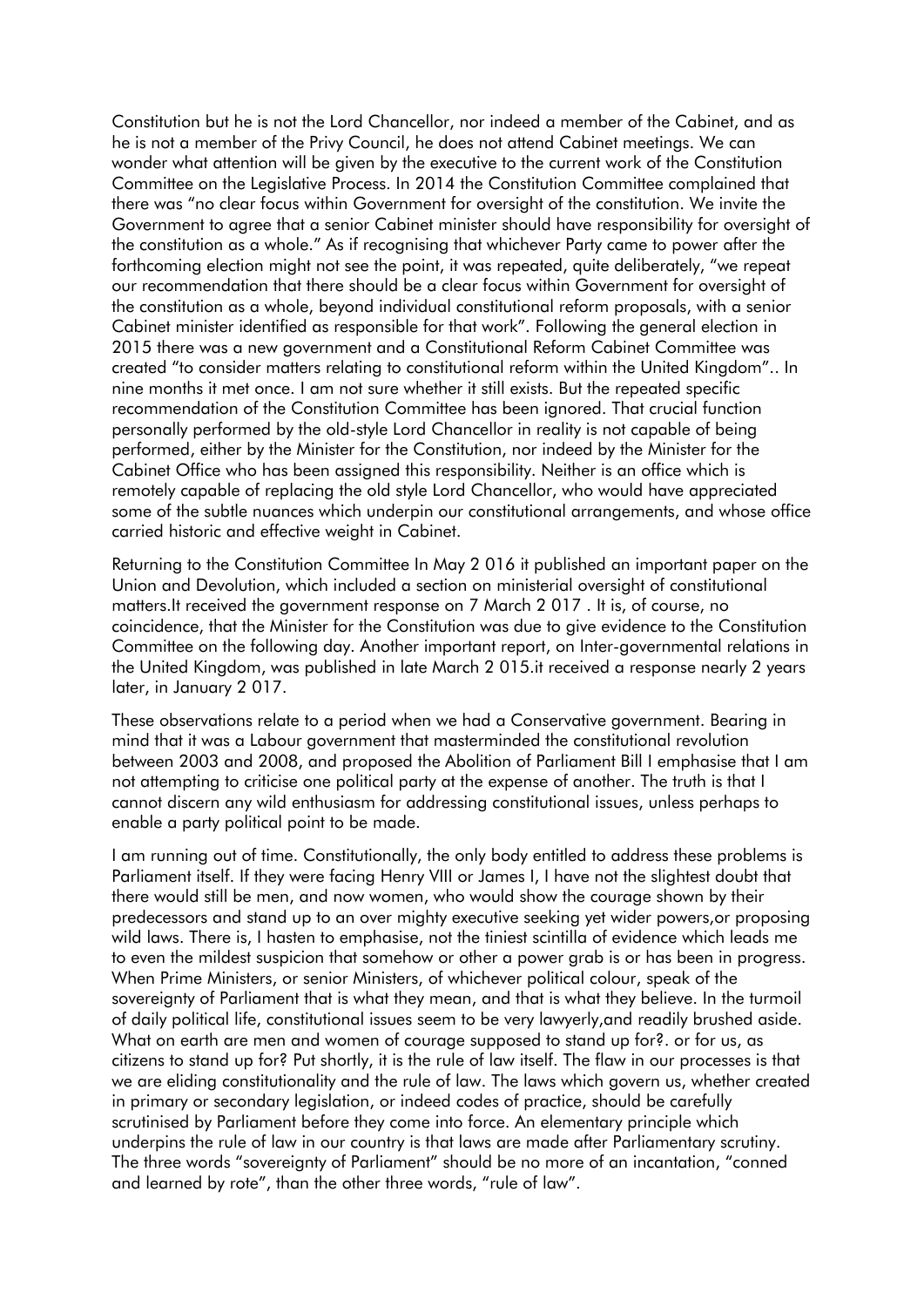Constitution but he is not the Lord Chancellor, nor indeed a member of the Cabinet, and as he is not a member of the Privy Council, he does not attend Cabinet meetings. We can wonder what attention will be given by the executive to the current work of the Constitution Committee on the Legislative Process. In 2014 the Constitution Committee complained that there was "no clear focus within Government for oversight of the constitution. We invite the Government to agree that a senior Cabinet minister should have responsibility for oversight of the constitution as a whole." As if recognising that whichever Party came to power after the forthcoming election might not see the point, it was repeated, quite deliberately, "we repeat our recommendation that there should be a clear focus within Government for oversight of the constitution as a whole, beyond individual constitutional reform proposals, with a senior Cabinet minister identified as responsible for that work". Following the general election in 2015 there was a new government and a Constitutional Reform Cabinet Committee was created "to consider matters relating to constitutional reform within the United Kingdom".. In nine months it met once. I am not sure whether it still exists. But the repeated specific recommendation of the Constitution Committee has been ignored. That crucial function personally performed by the old-style Lord Chancellor in reality is not capable of being performed, either by the Minister for the Constitution, nor indeed by the Minister for the Cabinet Office who has been assigned this responsibility. Neither is an office which is remotely capable of replacing the old style Lord Chancellor, who would have appreciated some of the subtle nuances which underpin our constitutional arrangements, and whose office carried historic and effective weight in Cabinet.

Returning to the Constitution Committee In May 2 016 it published an important paper on the Union and Devolution, which included a section on ministerial oversight of constitutional matters.It received the government response on 7 March 2 017 . It is, of course, no coincidence, that the Minister for the Constitution was due to give evidence to the Constitution Committee on the following day. Another important report, on Inter-governmental relations in the United Kingdom, was published in late March 2 015.it received a response nearly 2 years later, in January 2 017.

These observations relate to a period when we had a Conservative government. Bearing in mind that it was a Labour government that masterminded the constitutional revolution between 2003 and 2008, and proposed the Abolition of Parliament Bill I emphasise that I am not attempting to criticise one political party at the expense of another. The truth is that I cannot discern any wild enthusiasm for addressing constitutional issues, unless perhaps to enable a party political point to be made.

I am running out of time. Constitutionally, the only body entitled to address these problems is Parliament itself. If they were facing Henry VIII or James I, I have not the slightest doubt that there would still be men, and now women, who would show the courage shown by their predecessors and stand up to an over mighty executive seeking yet wider powers,or proposing wild laws. There is, I hasten to emphasise, not the tiniest scintilla of evidence which leads me to even the mildest suspicion that somehow or other a power grab is or has been in progress. When Prime Ministers, or senior Ministers, of whichever political colour, speak of the sovereignty of Parliament that is what they mean, and that is what they believe. In the turmoil of daily political life, constitutional issues seem to be very lawyerly,and readily brushed aside. What on earth are men and women of courage supposed to stand up for?. or for us, as citizens to stand up for? Put shortly, it is the rule of law itself. The flaw in our processes is that we are eliding constitutionality and the rule of law. The laws which govern us, whether created in primary or secondary legislation, or indeed codes of practice, should be carefully scrutinised by Parliament before they come into force. An elementary principle which underpins the rule of law in our country is that laws are made after Parliamentary scrutiny. The three words "sovereignty of Parliament" should be no more of an incantation, "conned and learned by rote", than the other three words, "rule of law".